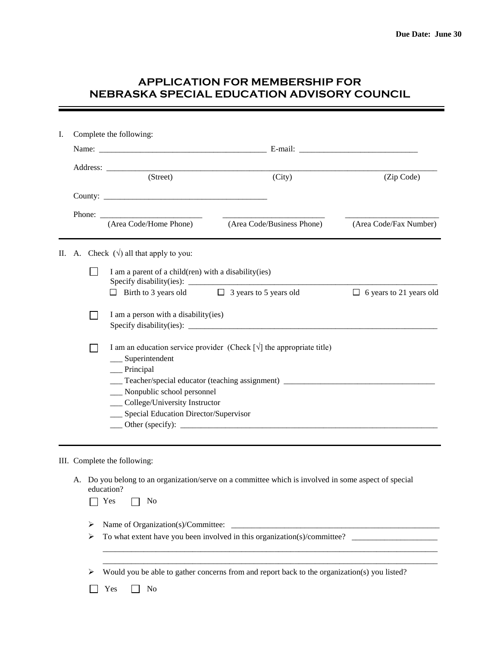## **APPLICATION FOR MEMBERSHIP FOR NEBRASKA SPECIAL EDUCATION ADVISORY COUNCIL**

| Ι.      | Complete the following:                  |                                             |                                                                                                                                |                                                                 |                                |  |  |  |
|---------|------------------------------------------|---------------------------------------------|--------------------------------------------------------------------------------------------------------------------------------|-----------------------------------------------------------------|--------------------------------|--|--|--|
|         |                                          |                                             |                                                                                                                                |                                                                 |                                |  |  |  |
|         |                                          |                                             | (Street)                                                                                                                       | (City)                                                          | (Zip Code)                     |  |  |  |
|         |                                          |                                             |                                                                                                                                |                                                                 |                                |  |  |  |
|         |                                          |                                             |                                                                                                                                |                                                                 |                                |  |  |  |
|         |                                          |                                             |                                                                                                                                | Phone: <u>(Area Code/Home Phone)</u> (Area Code/Business Phone) | (Area Code/Fax Number)         |  |  |  |
|         |                                          |                                             |                                                                                                                                |                                                                 |                                |  |  |  |
| $\Pi$ . |                                          | A. Check $(\sqrt{})$ all that apply to you: |                                                                                                                                |                                                                 |                                |  |  |  |
|         |                                          |                                             | I am a parent of a child(ren) with a disability(ies)                                                                           |                                                                 |                                |  |  |  |
|         |                                          |                                             | $\Box$ Birth to 3 years old $\Box$ 3 years to 5 years old                                                                      |                                                                 | $\Box$ 6 years to 21 years old |  |  |  |
|         |                                          |                                             | I am a person with a disability (ies)                                                                                          |                                                                 |                                |  |  |  |
|         |                                          |                                             |                                                                                                                                |                                                                 |                                |  |  |  |
|         |                                          |                                             | I am an education service provider (Check $\lceil \sqrt{\rceil} \rceil$ the appropriate title)<br>$\frac{1}{2}$ Superintendent |                                                                 |                                |  |  |  |
|         |                                          |                                             | $\Box$ Principal                                                                                                               |                                                                 |                                |  |  |  |
|         |                                          |                                             |                                                                                                                                |                                                                 |                                |  |  |  |
|         |                                          |                                             | __ Nonpublic school personnel                                                                                                  |                                                                 |                                |  |  |  |
|         | __ College/University Instructor         |                                             |                                                                                                                                |                                                                 |                                |  |  |  |
|         | __ Special Education Director/Supervisor |                                             |                                                                                                                                |                                                                 |                                |  |  |  |
|         |                                          |                                             |                                                                                                                                |                                                                 |                                |  |  |  |
|         |                                          |                                             |                                                                                                                                |                                                                 |                                |  |  |  |

## III. Complete the following:

A. Do you belong to an organization/serve on a committee which is involved in some aspect of special education?

| -<br>$\sim$<br>$\sim$<br>$\sim$ |  | ١<br>1<br>- |
|---------------------------------|--|-------------|
|---------------------------------|--|-------------|

- Name of Organization(s)/Committee: \_\_\_\_\_\_\_\_\_\_\_\_\_\_\_\_\_\_\_\_\_\_\_\_\_\_\_\_\_\_\_\_\_\_\_\_\_\_\_\_\_\_\_\_\_\_\_\_\_\_\_
- To what extent have you been involved in this organization(s)/committee? \_\_\_\_\_\_\_\_\_\_\_\_\_\_\_\_\_\_\_\_\_

Would you be able to gather concerns from and report back to the organization(s) you listed?

\_\_\_\_\_\_\_\_\_\_\_\_\_\_\_\_\_\_\_\_\_\_\_\_\_\_\_\_\_\_\_\_\_\_\_\_\_\_\_\_\_\_\_\_\_\_\_\_\_\_\_\_\_\_\_\_\_\_\_\_\_\_\_\_\_\_\_\_\_\_\_\_\_\_\_\_\_\_\_\_\_\_ \_\_\_\_\_\_\_\_\_\_\_\_\_\_\_\_\_\_\_\_\_\_\_\_\_\_\_\_\_\_\_\_\_\_\_\_\_\_\_\_\_\_\_\_\_\_\_\_\_\_\_\_\_\_\_\_\_\_\_\_\_\_\_\_\_\_\_\_\_\_\_\_\_\_\_\_\_\_\_\_\_\_

No Yes No